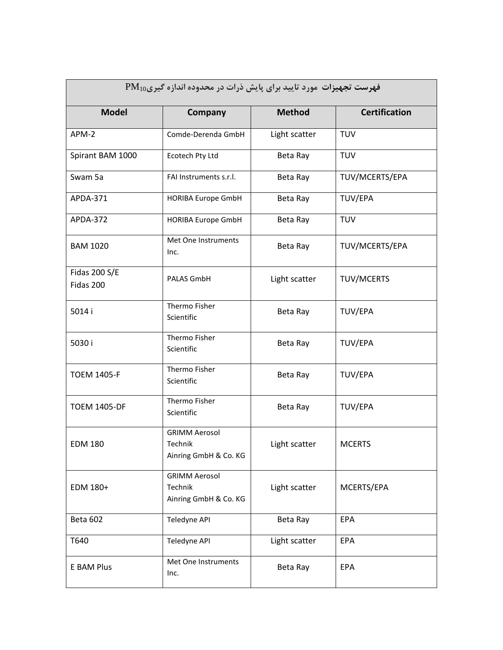| فهرست تجهیزات مورد تایید برای پایش ذرات در محدوده اندازه گیریTM |                                                          |               |                      |  |
|-----------------------------------------------------------------|----------------------------------------------------------|---------------|----------------------|--|
| <b>Model</b>                                                    | Company                                                  | <b>Method</b> | <b>Certification</b> |  |
| APM-2                                                           | Comde-Derenda GmbH                                       | Light scatter | <b>TUV</b>           |  |
| Spirant BAM 1000                                                | Ecotech Pty Ltd                                          | Beta Ray      | <b>TUV</b>           |  |
| Swam 5a                                                         | FAI Instruments s.r.l.                                   | Beta Ray      | TUV/MCERTS/EPA       |  |
| APDA-371                                                        | <b>HORIBA Europe GmbH</b>                                | Beta Ray      | TUV/EPA              |  |
| APDA-372                                                        | HORIBA Europe GmbH                                       | Beta Ray      | <b>TUV</b>           |  |
| <b>BAM 1020</b>                                                 | Met One Instruments<br>Inc.                              | Beta Ray      | TUV/MCERTS/EPA       |  |
| Fidas 200 S/E<br>Fidas 200                                      | PALAS GmbH                                               | Light scatter | <b>TUV/MCERTS</b>    |  |
| 5014 i                                                          | Thermo Fisher<br>Scientific                              | Beta Ray      | <b>TUV/EPA</b>       |  |
| 5030 i                                                          | Thermo Fisher<br>Scientific                              | Beta Ray      | <b>TUV/EPA</b>       |  |
| <b>TOEM 1405-F</b>                                              | Thermo Fisher<br>Scientific                              | Beta Ray      | <b>TUV/EPA</b>       |  |
| <b>TOEM 1405-DF</b>                                             | Thermo Fisher<br>Scientific                              | Beta Ray      | <b>TUV/EPA</b>       |  |
| <b>EDM 180</b>                                                  | <b>GRIMM Aerosol</b><br>Technik<br>Ainring GmbH & Co. KG | Light scatter | <b>MCERTS</b>        |  |
| EDM 180+                                                        | <b>GRIMM Aerosol</b><br>Technik<br>Ainring GmbH & Co. KG | Light scatter | MCERTS/EPA           |  |
| Beta 602                                                        | Teledyne API                                             | Beta Ray      | EPA                  |  |
| T640                                                            | Teledyne API                                             | Light scatter | EPA                  |  |
| E BAM Plus                                                      | Met One Instruments<br>Inc.                              | Beta Ray      | EPA                  |  |